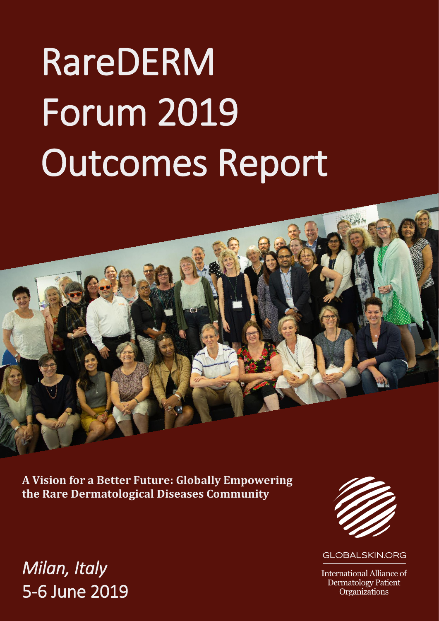# RareDERM Forum 2019 Outcomes Report

**A Vision for a Better Future: Globally Empowering the Rare Dermatological Diseases Community**

## *Milan, Italy* 5-6 June 2019



**GLOBALSKIN,ORG** 

**International Alliance of Dermatology Patient** Organizations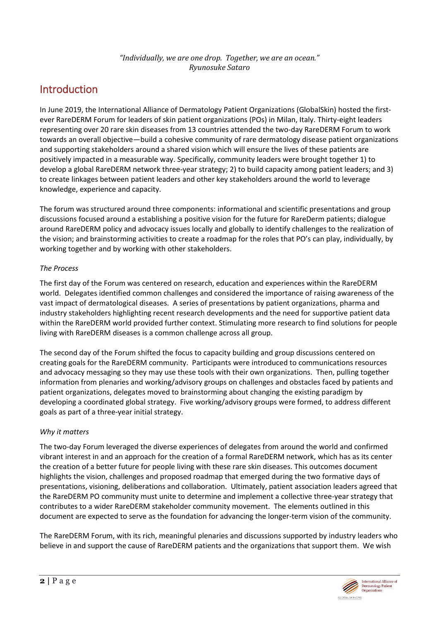## *"Individually, we are one drop. Together, we are an ocean." Ryunosuke Sataro*

## Introduction

In June 2019, the International Alliance of Dermatology Patient Organizations (GlobalSkin) hosted the firstever RareDERM Forum for leaders of skin patient organizations (POs) in Milan, Italy. Thirty-eight leaders representing over 20 rare skin diseases from 13 countries attended the two-day RareDERM Forum to work towards an overall objective—build a cohesive community of rare dermatology disease patient organizations and supporting stakeholders around a shared vision which will ensure the lives of these patients are positively impacted in a measurable way. Specifically, community leaders were brought together 1) to develop a global RareDERM network three-year strategy; 2) to build capacity among patient leaders; and 3) to create linkages between patient leaders and other key stakeholders around the world to leverage knowledge, experience and capacity.

The forum was structured around three components: informational and scientific presentations and group discussions focused around a establishing a positive vision for the future for RareDerm patients; dialogue around RareDERM policy and advocacy issues locally and globally to identify challenges to the realization of the vision; and brainstorming activities to create a roadmap for the roles that PO's can play, individually, by working together and by working with other stakeholders.

## *The Process*

The first day of the Forum was centered on research, education and experiences within the RareDERM world. Delegates identified common challenges and considered the importance of raising awareness of the vast impact of dermatological diseases. A series of presentations by patient organizations, pharma and industry stakeholders highlighting recent research developments and the need for supportive patient data within the RareDERM world provided further context. Stimulating more research to find solutions for people living with RareDERM diseases is a common challenge across all group.

The second day of the Forum shifted the focus to capacity building and group discussions centered on creating goals for the RareDERM community. Participants were introduced to communications resources and advocacy messaging so they may use these tools with their own organizations. Then, pulling together information from plenaries and working/advisory groups on challenges and obstacles faced by patients and patient organizations, delegates moved to brainstorming about changing the existing paradigm by developing a coordinated global strategy. Five working/advisory groups were formed, to address different goals as part of a three-year initial strategy.

## *Why it matters*

The two-day Forum leveraged the diverse experiences of delegates from around the world and confirmed vibrant interest in and an approach for the creation of a formal RareDERM network, which has as its center the creation of a better future for people living with these rare skin diseases. This outcomes document highlights the vision, challenges and proposed roadmap that emerged during the two formative days of presentations, visioning, deliberations and collaboration. Ultimately, patient association leaders agreed that the RareDERM PO community must unite to determine and implement a collective three-year strategy that contributes to a wider RareDERM stakeholder community movement. The elements outlined in this document are expected to serve as the foundation for advancing the longer-term vision of the community.

The RareDERM Forum, with its rich, meaningful plenaries and discussions supported by industry leaders who believe in and support the cause of RareDERM patients and the organizations that support them. We wish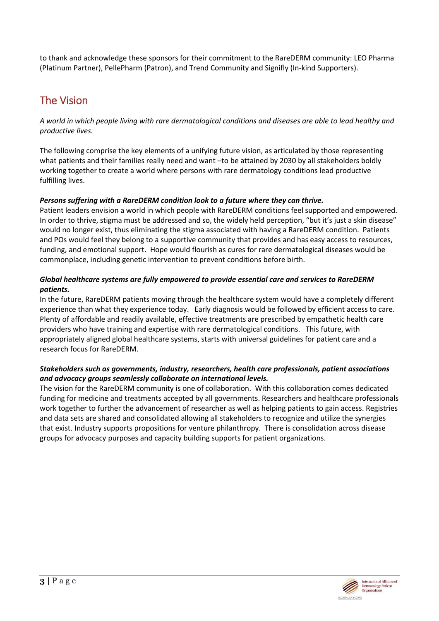to thank and acknowledge these sponsors for their commitment to the RareDERM community: LEO Pharma (Platinum Partner), PellePharm (Patron), and Trend Community and Signifly (In-kind Supporters).

## The Vision

*A world in which people living with rare dermatological conditions and diseases are able to lead healthy and productive lives.* 

The following comprise the key elements of a unifying future vision, as articulated by those representing what patients and their families really need and want –to be attained by 2030 by all stakeholders boldly working together to create a world where persons with rare dermatology conditions lead productive fulfilling lives.

## *Persons suffering with a RareDERM condition look to a future where they can thrive.*

Patient leaders envision a world in which people with RareDERM conditions feel supported and empowered. In order to thrive, stigma must be addressed and so, the widely held perception, "but it's just a skin disease" would no longer exist, thus eliminating the stigma associated with having a RareDERM condition. Patients and POs would feel they belong to a supportive community that provides and has easy access to resources, funding, and emotional support. Hope would flourish as cures for rare dermatological diseases would be commonplace, including genetic intervention to prevent conditions before birth.

## *Global healthcare systems are fully empowered to provide essential care and services to RareDERM patients.*

In the future, RareDERM patients moving through the healthcare system would have a completely different experience than what they experience today. Early diagnosis would be followed by efficient access to care. Plenty of affordable and readily available, effective treatments are prescribed by empathetic health care providers who have training and expertise with rare dermatological conditions. This future, with appropriately aligned global healthcare systems, starts with universal guidelines for patient care and a research focus for RareDERM.

## *Stakeholders such as governments, industry, researchers, health care professionals, patient associations and advocacy groups seamlessly collaborate on international levels.*

The vision for the RareDERM community is one of collaboration. With this collaboration comes dedicated funding for medicine and treatments accepted by all governments. Researchers and healthcare professionals work together to further the advancement of researcher as well as helping patients to gain access. Registries and data sets are shared and consolidated allowing all stakeholders to recognize and utilize the synergies that exist. Industry supports propositions for venture philanthropy. There is consolidation across disease groups for advocacy purposes and capacity building supports for patient organizations.

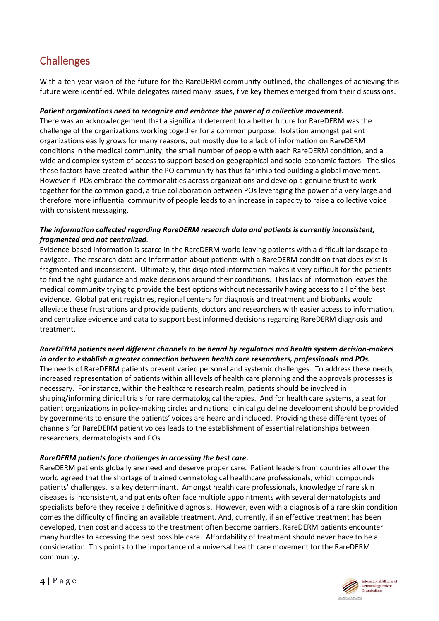## **Challenges**

With a ten-year vision of the future for the RareDERM community outlined, the challenges of achieving this future were identified. While delegates raised many issues, five key themes emerged from their discussions.

### *Patient organizations need to recognize and embrace the power of a collective movement.*

There was an acknowledgement that a significant deterrent to a better future for RareDERM was the challenge of the organizations working together for a common purpose. Isolation amongst patient organizations easily grows for many reasons, but mostly due to a lack of information on RareDERM conditions in the medical community, the small number of people with each RareDERM condition, and a wide and complex system of access to support based on geographical and socio-economic factors. The silos these factors have created within the PO community has thus far inhibited building a global movement. However if POs embrace the commonalities across organizations and develop a genuine trust to work together for the common good, a true collaboration between POs leveraging the power of a very large and therefore more influential community of people leads to an increase in capacity to raise a collective voice with consistent messaging.

#### *The information collected regarding RareDERM research data and patients is currently inconsistent, fragmented and not centralized.*

Evidence-based information is scarce in the RareDERM world leaving patients with a difficult landscape to navigate. The research data and information about patients with a RareDERM condition that does exist is fragmented and inconsistent. Ultimately, this disjointed information makes it very difficult for the patients to find the right guidance and make decisions around their conditions. This lack of information leaves the medical community trying to provide the best options without necessarily having access to all of the best evidence. Global patient registries, regional centers for diagnosis and treatment and biobanks would alleviate these frustrations and provide patients, doctors and researchers with easier access to information, and centralize evidence and data to support best informed decisions regarding RareDERM diagnosis and treatment.

#### *RareDERM patients need different channels to be heard by regulators and health system decision-makers in order to establish a greater connection between health care researchers, professionals and POs.*

The needs of RareDERM patients present varied personal and systemic challenges. To address these needs, increased representation of patients within all levels of health care planning and the approvals processes is necessary. For instance, within the healthcare research realm, patients should be involved in shaping/informing clinical trials for rare dermatological therapies. And for health care systems, a seat for patient organizations in policy-making circles and national clinical guideline development should be provided by governments to ensure the patients' voices are heard and included. Providing these different types of channels for RareDERM patient voices leads to the establishment of essential relationships between researchers, dermatologists and POs.

#### *RareDERM patients face challenges in accessing the best care.*

RareDERM patients globally are need and deserve proper care. Patient leaders from countries all over the world agreed that the shortage of trained dermatological healthcare professionals, which compounds patients' challenges, is a key determinant. Amongst health care professionals, knowledge of rare skin diseases is inconsistent, and patients often face multiple appointments with several dermatologists and specialists before they receive a definitive diagnosis. However, even with a diagnosis of a rare skin condition comes the difficulty of finding an available treatment. And, currently, if an effective treatment has been developed, then cost and access to the treatment often become barriers. RareDERM patients encounter many hurdles to accessing the best possible care. Affordability of treatment should never have to be a consideration. This points to the importance of a universal health care movement for the RareDERM community.

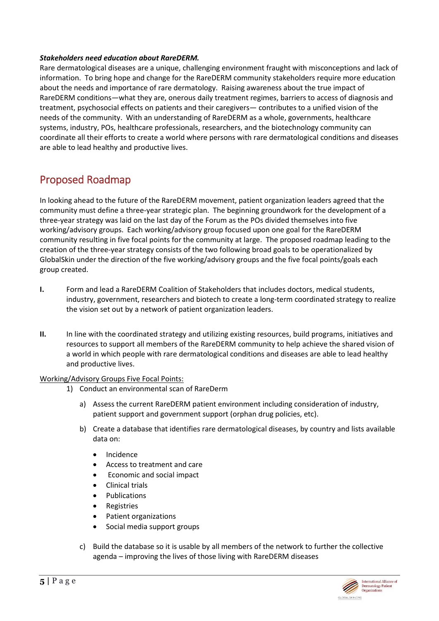#### *Stakeholders need education about RareDERM.*

Rare dermatological diseases are a unique, challenging environment fraught with misconceptions and lack of information. To bring hope and change for the RareDERM community stakeholders require more education about the needs and importance of rare dermatology. Raising awareness about the true impact of RareDERM conditions—what they are, onerous daily treatment regimes, barriers to access of diagnosis and treatment, psychosocial effects on patients and their caregivers— contributes to a unified vision of the needs of the community. With an understanding of RareDERM as a whole, governments, healthcare systems, industry, POs, healthcare professionals, researchers, and the biotechnology community can coordinate all their efforts to create a world where persons with rare dermatological conditions and diseases are able to lead healthy and productive lives.

## Proposed Roadmap

In looking ahead to the future of the RareDERM movement, patient organization leaders agreed that the community must define a three-year strategic plan. The beginning groundwork for the development of a three-year strategy was laid on the last day of the Forum as the POs divided themselves into five working/advisory groups. Each working/advisory group focused upon one goal for the RareDERM community resulting in five focal points for the community at large. The proposed roadmap leading to the creation of the three-year strategy consists of the two following broad goals to be operationalized by GlobalSkin under the direction of the five working/advisory groups and the five focal points/goals each group created.

- **I.** Form and lead a RareDERM Coalition of Stakeholders that includes doctors, medical students, industry, government, researchers and biotech to create a long-term coordinated strategy to realize the vision set out by a network of patient organization leaders.
- **II.** In line with the coordinated strategy and utilizing existing resources, build programs, initiatives and resources to support all members of the RareDERM community to help achieve the shared vision of a world in which people with rare dermatological conditions and diseases are able to lead healthy and productive lives.

#### Working/Advisory Groups Five Focal Points:

- 1) Conduct an environmental scan of RareDerm
	- a) Assess the current RareDERM patient environment including consideration of industry, patient support and government support (orphan drug policies, etc).
	- b) Create a database that identifies rare dermatological diseases, by country and lists available data on:
		- Incidence
		- Access to treatment and care
		- Economic and social impact
		- Clinical trials
		- **Publications**
		- Registries
		- Patient organizations
		- Social media support groups
	- c) Build the database so it is usable by all members of the network to further the collective agenda – improving the lives of those living with RareDERM diseases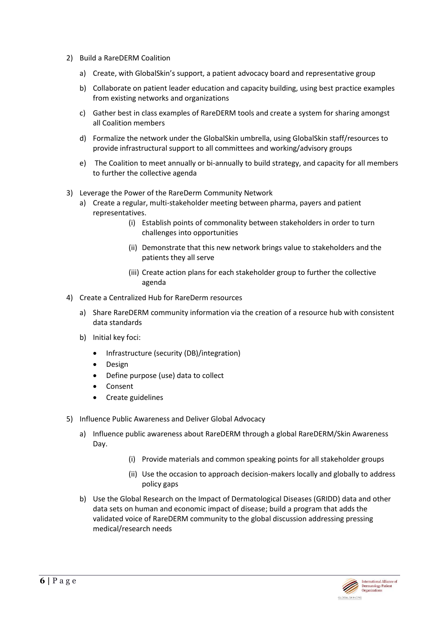- 2) Build a RareDERM Coalition
	- a) Create, with GlobalSkin's support, a patient advocacy board and representative group
	- b) Collaborate on patient leader education and capacity building, using best practice examples from existing networks and organizations
	- c) Gather best in class examples of RareDERM tools and create a system for sharing amongst all Coalition members
	- d) Formalize the network under the GlobalSkin umbrella, using GlobalSkin staff/resources to provide infrastructural support to all committees and working/advisory groups
	- e) The Coalition to meet annually or bi-annually to build strategy, and capacity for all members to further the collective agenda
- 3) Leverage the Power of the RareDerm Community Network
	- a) Create a regular, multi-stakeholder meeting between pharma, payers and patient representatives.
		- (i) Establish points of commonality between stakeholders in order to turn challenges into opportunities
		- (ii) Demonstrate that this new network brings value to stakeholders and the patients they all serve
		- (iii) Create action plans for each stakeholder group to further the collective agenda
- 4) Create a Centralized Hub for RareDerm resources
	- a) Share RareDERM community information via the creation of a resource hub with consistent data standards
	- b) Initial key foci:
		- Infrastructure (security (DB)/integration)
		- Design
		- Define purpose (use) data to collect
		- Consent
		- Create guidelines
- 5) Influence Public Awareness and Deliver Global Advocacy
	- a) Influence public awareness about RareDERM through a global RareDERM/Skin Awareness Day.
		- (i) Provide materials and common speaking points for all stakeholder groups
		- (ii) Use the occasion to approach decision-makers locally and globally to address policy gaps
	- b) Use the Global Research on the Impact of Dermatological Diseases (GRIDD) data and other data sets on human and economic impact of disease; build a program that adds the validated voice of RareDERM community to the global discussion addressing pressing medical/research needs

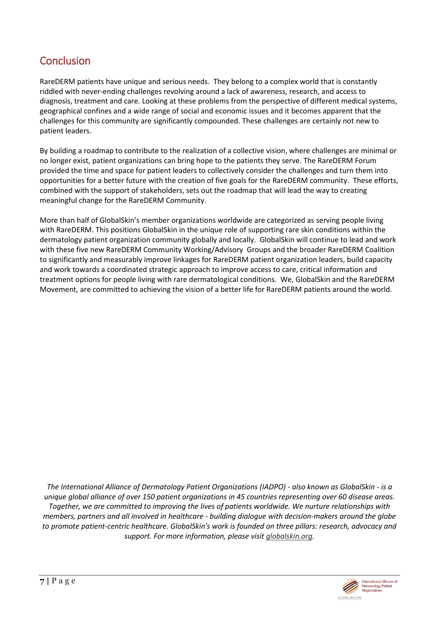## **Conclusion**

RareDERM patients have unique and serious needs. They belong to a complex world that is constantly riddled with never-ending challenges revolving around a lack of awareness, research, and access to diagnosis, treatment and care. Looking at these problems from the perspective of different medical systems, geographical confines and a wide range of social and economic issues and it becomes apparent that the challenges for this community are significantly compounded. These challenges are certainly not new to patient leaders.

By building a roadmap to contribute to the realization of a collective vision, where challenges are minimal or no longer exist, patient organizations can bring hope to the patients they serve. The RareDERM Forum provided the time and space for patient leaders to collectively consider the challenges and turn them into opportunities for a better future with the creation of five goals for the RareDERM community. These efforts, combined with the support of stakeholders, sets out the roadmap that will lead the way to creating meaningful change for the RareDERM Community.

More than half of GlobalSkin's member organizations worldwide are categorized as serving people living with RareDERM. This positions GlobalSkin in the unique role of supporting rare skin conditions within the dermatology patient organization community globally and locally. GlobalSkin will continue to lead and work with these five new RareDERM Community Working/Advisory Groups and the broader RareDERM Coalition to significantly and measurably improve linkages for RareDERM patient organization leaders, build capacity and work towards a coordinated strategic approach to improve access to care, critical information and treatment options for people living with rare dermatological conditions. We, GlobalSkin and the RareDERM Movement, are committed to achieving the vision of a better life for RareDERM patients around the world.

*The International Alliance of Dermatology Patient Organizations (IADPO) - also known as GlobalSkin - is a unique global alliance of over 150 patient organizations in 45 countries representing over 60 disease areas. Together, we are committed to improving the lives of patients worldwide. We nurture relationships with members, partners and all involved in healthcare - building dialogue with decision-makers around the globe to promote patient-centric healthcare. GlobalSkin's work is founded on three pillars: research, advocacy and support. For more information, please visit [globalskin.org.](https://globalskin.org/)*